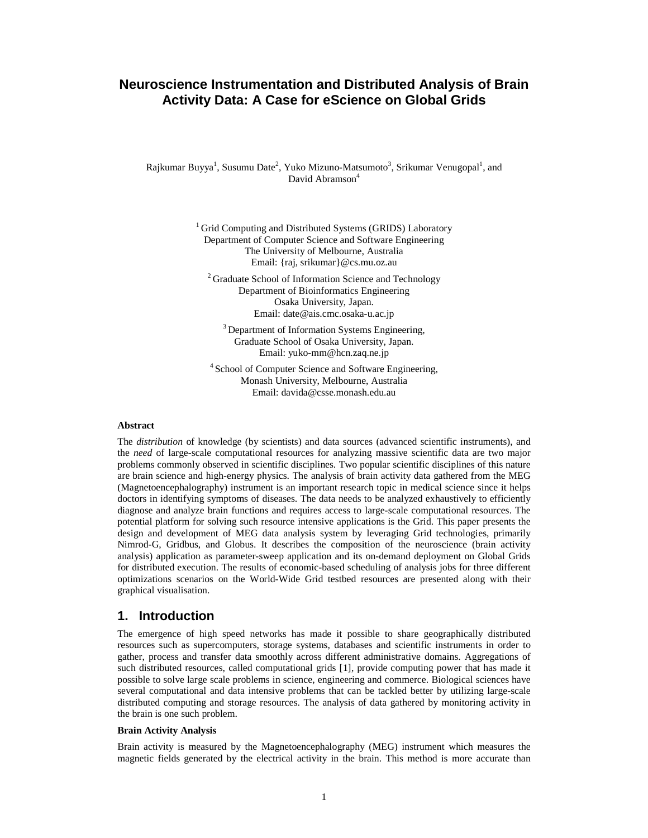## **Neuroscience Instrumentation and Distributed Analysis of Brain Activity Data: A Case for eScience on Global Grids**

Rajkumar Buyya<sup>1</sup>, Susumu Date<sup>2</sup>, Yuko Mizuno-Matsumoto<sup>3</sup>, Srikumar Venugopal<sup>1</sup>, and David Abramson 4

> <sup>1</sup> Grid Computing and Distributed Systems (GRIDS) Laboratory Department of Computer Science and Software Engineering The University of Melbourne, Australia Email: {raj, srikumar}@cs.mu.oz.au

<sup>2</sup> Graduate School of Information Science and Technology Department of Bioinformatics Engineering Osaka University, Japan. Email: date@ais.cmc.osaka-u.ac.jp

<sup>3</sup> Department of Information Systems Engineering, Graduate School of Osaka University, Japan. Email: yuko-mm@hcn.zaq.ne.jp

<sup>4</sup> School of Computer Science and Software Engineering, Monash University, Melbourne, Australia Email: davida@csse.monash.edu.au

#### **Abstract**

The *distribution* of knowledge (by scientists) and data sources (advanced scientific instruments), and the *need* of large-scale computational resources for analyzing massive scientific data are two major problems commonly observed in scientific disciplines. Two popular scientific disciplines of this nature are brain science and high-energy physics. The analysis of brain activity data gathered from the MEG (Magnetoencephalography) instrument is an important research topic in medical science since it helps doctors in identifying symptoms of diseases. The data needs to be analyzed exhaustively to efficiently diagnose and analyze brain functions and requires access to large-scale computational resources. The potential platform for solving such resource intensive applications is the Grid. This paper presents the design and development of MEG data analysis system by leveraging Grid technologies, primarily Nimrod-G, Gridbus, and Globus. It describes the composition of the neuroscience (brain activity analysis) application as parameter-sweep application and its on-demand deployment on Global Grids for distributed execution. The results of economic-based scheduling of analysis jobs for three different optimizations scenarios on the World-Wide Grid testbed resources are presented along with their graphical visualisation.

### **1. Introduction**

The emergence of high speed networks has made it possible to share geographically distributed resources such as supercomputers, storage systems, databases and scientific instruments in order to gather, process and transfer data smoothly across different administrative domains. Aggregations of such distributed resources, called computational grids [1], provide computing power that has made it possible to solve large scale problems in science, engineering and commerce. Biological sciences have several computational and data intensive problems that can be tackled better by utilizing large-scale distributed computing and storage resources. The analysis of data gathered by monitoring activity in the brain is one such problem.

#### **Brain Activity Analysis**

Brain activity is measured by the Magnetoencephalography (MEG) instrument which measures the magnetic fields generated by the electrical activity in the brain. This method is more accurate than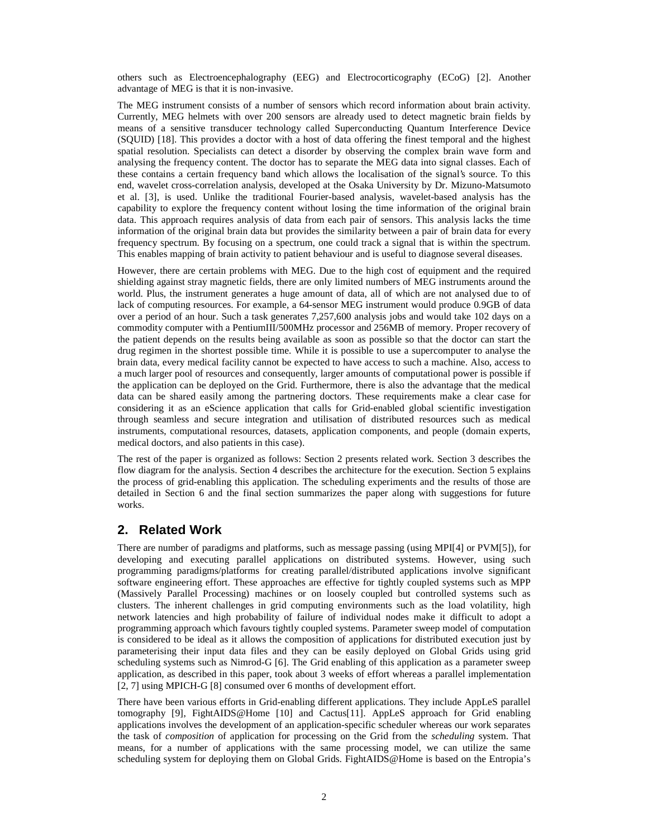others such as Electroencephalography (EEG) and Electrocorticography (ECoG) [2]. Another advantage of MEG is that it is non-invasive.

The MEG instrument consists of a number of sensors which record information about brain activity. Currently, MEG helmets with over 200 sensors are already used to detect magnetic brain fields by means of a sensitive transducer technology called Superconducting Quantum Interference Device (SQUID) [18]. This provides a doctor with a host of data offering the finest temporal and the highest spatial resolution. Specialists can detect a disorder by observing the complex brain wave form and analysing the frequency content. The doctor has to separate the MEG data into signal classes. Each of these contains a certain frequency band which allows the localisation of the signal's source. To this end, wavelet cross-correlation analysis, developed at the Osaka University by Dr. Mizuno-Matsumoto et al. [3], is used. Unlike the traditional Fourier-based analysis, wavelet-based analysis has the capability to explore the frequency content without losing the time information of the original brain data. This approach requires analysis of data from each pair of sensors. This analysis lacks the time information of the original brain data but provides the similarity between a pair of brain data for every frequency spectrum. By focusing on a spectrum, one could track a signal that is within the spectrum. This enables mapping of brain activity to patient behaviour and is useful to diagnose several diseases.

However, there are certain problems with MEG. Due to the high cost of equipment and the required shielding against stray magnetic fields, there are only limited numbers of MEG instruments around the world. Plus, the instrument generates a huge amount of data, all of which are not analysed due to of lack of computing resources. For example, a 64-sensor MEG instrument would produce 0.9GB of data over a period of an hour. Such a task generates 7,257,600 analysis jobs and would take 102 days on a commodity computer with a PentiumIII/500MHz processor and 256MB of memory. Proper recovery of the patient depends on the results being available as soon as possible so that the doctor can start the drug regimen in the shortest possible time. While it is possible to use a supercomputer to analyse the brain data, every medical facility cannot be expected to have access to such a machine. Also, access to a much larger pool of resources and consequently, larger amounts of computational power is possible if the application can be deployed on the Grid. Furthermore, there is also the advantage that the medical data can be shared easily among the partnering doctors. These requirements make a clear case for considering it as an eScience application that calls for Grid-enabled global scientific investigation through seamless and secure integration and utilisation of distributed resources such as medical instruments, computational resources, datasets, application components, and people (domain experts, medical doctors, and also patients in this case).

The rest of the paper is organized as follows: Section 2 presents related work. Section 3 describes the flow diagram for the analysis. Section 4 describes the architecture for the execution. Section 5 explains the process of grid-enabling this application. The scheduling experiments and the results of those are detailed in Section 6 and the final section summarizes the paper along with suggestions for future works.

### **2. Related Work**

There are number of paradigms and platforms, such as message passing (using MPI[4] or PVM[5]), for developing and executing parallel applications on distributed systems. However, using such programming paradigms/platforms for creating parallel/distributed applications involve significant software engineering effort. These approaches are effective for tightly coupled systems such as MPP (Massively Parallel Processing) machines or on loosely coupled but controlled systems such as clusters. The inherent challenges in grid computing environments such as the load volatility, high network latencies and high probability of failure of individual nodes make it difficult to adopt a programming approach which favours tightly coupled systems. Parameter sweep model of computation is considered to be ideal as it allows the composition of applications for distributed execution just by parameterising their input data files and they can be easily deployed on Global Grids using grid scheduling systems such as Nimrod-G [6]. The Grid enabling of this application as a parameter sweep application, as described in this paper, took about 3 weeks of effort whereas a parallel implementation [2, 7] using MPICH-G [8] consumed over 6 months of development effort.

There have been various efforts in Grid-enabling different applications. They include AppLeS parallel tomography [9], FightAIDS@Home [10] and Cactus[11]. AppLeS approach for Grid enabling applications involves the development of an application-specific scheduler whereas our work separates the task of *composition* of application for processing on the Grid from the *scheduling* system. That means, for a number of applications with the same processing model, we can utilize the same scheduling system for deploying them on Global Grids. FightAIDS@Home is based on the Entropia's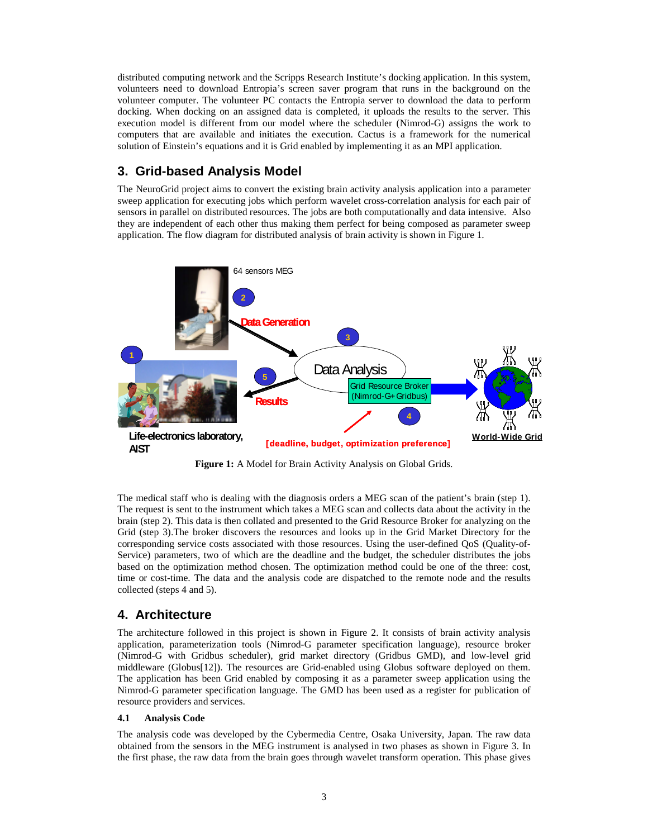distributed computing network and the Scripps Research Institute's docking application. In this system, volunteers need to download Entropia's screen saver program that runs in the background on the volunteer computer. The volunteer PC contacts the Entropia server to download the data to perform docking. When docking on an assigned data is completed, it uploads the results to the server. This execution model is different from our model where the scheduler (Nimrod-G) assigns the work to computers that are available and initiates the execution. Cactus is a framework for the numerical solution of Einstein's equations and it is Grid enabled by implementing it as an MPI application.

### **3. Grid-based Analysis Model**

The NeuroGrid project aims to convert the existing brain activity analysis application into a parameter sweep application for executing jobs which perform wavelet cross-correlation analysis for each pair of sensors in parallel on distributed resources. The jobs are both computationally and data intensive. Also they are independent of each other thus making them perfect for being composed as parameter sweep application. The flow diagram for distributed analysis of brain activity is shown in Figure 1.



**Figure 1:** A Model for Brain Activity Analysis on Global Grids.

The medical staff who is dealing with the diagnosis orders a MEG scan of the patient's brain (step 1). The request is sent to the instrument which takes a MEG scan and collects data about the activity in the brain (step 2). This data is then collated and presented to the Grid Resource Broker for analyzing on the Grid (step 3).The broker discovers the resources and looks up in the Grid Market Directory for the corresponding service costs associated with those resources. Using the user-defined QoS (Quality-of-Service) parameters, two of which are the deadline and the budget, the scheduler distributes the jobs based on the optimization method chosen. The optimization method could be one of the three: cost, time or cost-time. The data and the analysis code are dispatched to the remote node and the results collected (steps 4 and 5).

### **4. Architecture**

The architecture followed in this project is shown in Figure 2. It consists of brain activity analysis application, parameterization tools (Nimrod-G parameter specification language), resource broker (Nimrod-G with Gridbus scheduler), grid market directory (Gridbus GMD), and low-level grid middleware (Globus[12]). The resources are Grid-enabled using Globus software deployed on them. The application has been Grid enabled by composing it as a parameter sweep application using the Nimrod-G parameter specification language. The GMD has been used as a register for publication of resource providers and services.

### **4.1 Analysis Code**

The analysis code was developed by the Cybermedia Centre, Osaka University, Japan. The raw data obtained from the sensors in the MEG instrument is analysed in two phases as shown in Figure 3. In the first phase, the raw data from the brain goes through wavelet transform operation. This phase gives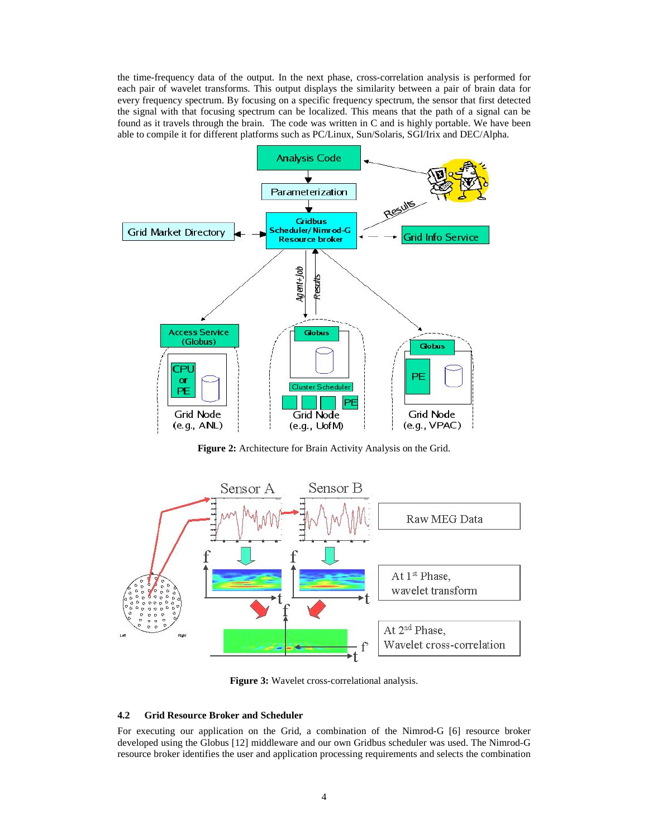the time-frequency data of the output. In the next phase, cross-correlation analysis is performed for each pair of wavelet transforms. This output displays the similarity between a pair of brain data for every frequency spectrum. By focusing on a specific frequency spectrum, the sensor that first detected the signal with that focusing spectrum can be localized. This means that the path of a signal can be found as it travels through the brain. The code was written in C and is highly portable. We have been able to compile it for different platforms such as PC/Linux, Sun/Solaris, SGI/Irix and DEC/Alpha.



**Figure 2:** Architecture for Brain Activity Analysis on the Grid.



**Figure 3:** Wavelet cross-correlational analysis.

#### **4.2 Grid Resource Broker and Scheduler**

For executing our application on the Grid, a combination of the Nimrod-G [6] resource broker developed using the Globus [12] middleware and our own Gridbus scheduler was used. The Nimrod-G resource broker identifies the user and application processing requirements and selects the combination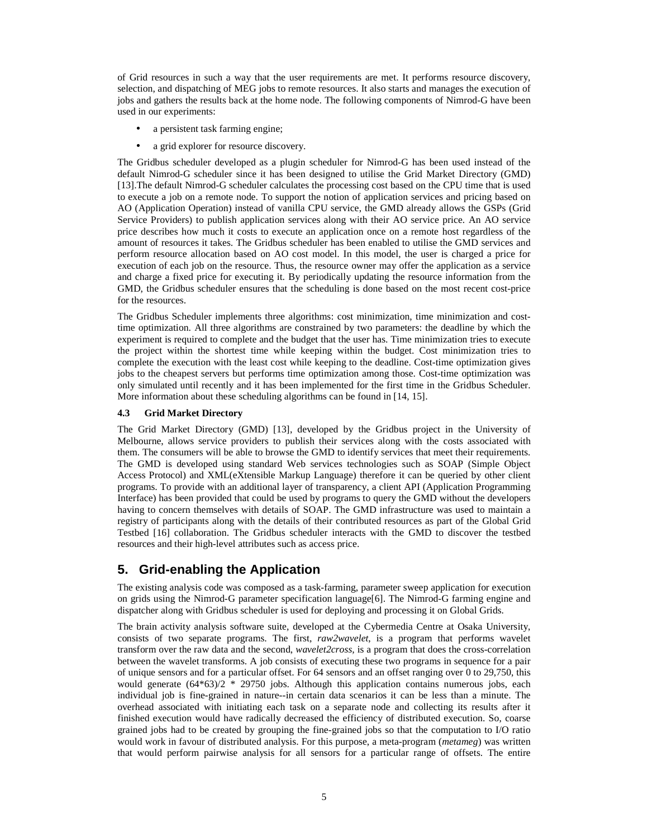of Grid resources in such a way that the user requirements are met. It performs resource discovery, selection, and dispatching of MEG jobs to remote resources. It also starts and manages the execution of jobs and gathers the results back at the home node. The following components of Nimrod-G have been used in our experiments:

- a persistent task farming engine;
- a grid explorer for resource discovery.

The Gridbus scheduler developed as a plugin scheduler for Nimrod-G has been used instead of the default Nimrod-G scheduler since it has been designed to utilise the Grid Market Directory (GMD) [13].The default Nimrod-G scheduler calculates the processing cost based on the CPU time that is used to execute a job on a remote node. To support the notion of application services and pricing based on AO (Application Operation) instead of vanilla CPU service, the GMD already allows the GSPs (Grid Service Providers) to publish application services along with their AO service price. An AO service price describes how much it costs to execute an application once on a remote host regardless of the amount of resources it takes. The Gridbus scheduler has been enabled to utilise the GMD services and perform resource allocation based on AO cost model. In this model, the user is charged a price for execution of each job on the resource. Thus, the resource owner may offer the application as a service and charge a fixed price for executing it. By periodically updating the resource information from the GMD, the Gridbus scheduler ensures that the scheduling is done based on the most recent cost-price for the resources.

The Gridbus Scheduler implements three algorithms: cost minimization, time minimization and costtime optimization. All three algorithms are constrained by two parameters: the deadline by which the experiment is required to complete and the budget that the user has. Time minimization tries to execute the project within the shortest time while keeping within the budget. Cost minimization tries to complete the execution with the least cost while keeping to the deadline. Cost-time optimization gives jobs to the cheapest servers but performs time optimization among those. Cost-time optimization was only simulated until recently and it has been implemented for the first time in the Gridbus Scheduler. More information about these scheduling algorithms can be found in [14, 15].

### **4.3 Grid Market Directory**

The Grid Market Directory (GMD) [13], developed by the Gridbus project in the University of Melbourne, allows service providers to publish their services along with the costs associated with them. The consumers will be able to browse the GMD to identify services that meet their requirements. The GMD is developed using standard Web services technologies such as SOAP (Simple Object Access Protocol) and XML(eXtensible Markup Language) therefore it can be queried by other client programs. To provide with an additional layer of transparency, a client API (Application Programming Interface) has been provided that could be used by programs to query the GMD without the developers having to concern themselves with details of SOAP. The GMD infrastructure was used to maintain a registry of participants along with the details of their contributed resources as part of the Global Grid Testbed [16] collaboration. The Gridbus scheduler interacts with the GMD to discover the testbed resources and their high-level attributes such as access price.

## **5. Grid-enabling the Application**

The existing analysis code was composed as a task-farming, parameter sweep application for execution on grids using the Nimrod-G parameter specification language[6]. The Nimrod-G farming engine and dispatcher along with Gridbus scheduler is used for deploying and processing it on Global Grids.

The brain activity analysis software suite, developed at the Cybermedia Centre at Osaka University, consists of two separate programs. The first, *raw2wavelet*, is a program that performs wavelet transform over the raw data and the second, *wavelet2cross,* is a program that does the cross-correlation between the wavelet transforms. A job consists of executing these two programs in sequence for a pair of unique sensors and for a particular offset. For 64 sensors and an offset ranging over 0 to 29,750, this would generate  $(64*63)/2$  \* 29750 jobs. Although this application contains numerous jobs, each individual job is fine-grained in nature--in certain data scenarios it can be less than a minute. The overhead associated with initiating each task on a separate node and collecting its results after it finished execution would have radically decreased the efficiency of distributed execution. So, coarse grained jobs had to be created by grouping the fine-grained jobs so that the computation to I/O ratio would work in favour of distributed analysis. For this purpose, a meta-program (*metameg*) was written that would perform pairwise analysis for all sensors for a particular range of offsets. The entire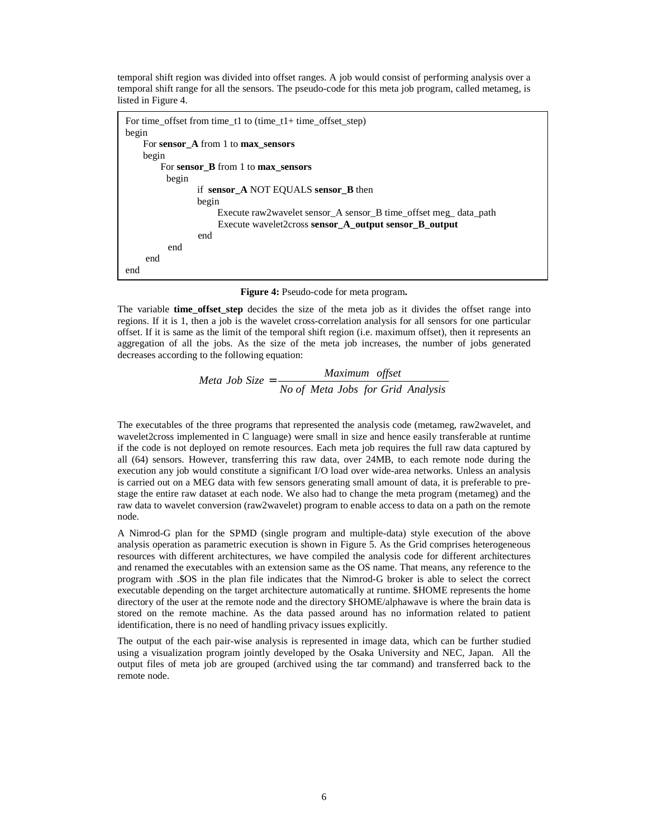temporal shift region was divided into offset ranges. A job would consist of performing analysis over a temporal shift range for all the sensors. The pseudo-code for this meta job program, called metameg, is listed in Figure 4.

```
For time_offset from time_t1 to (time_t1+ time_offset_step)
begin
    For sensor_A from 1 to max_sensors
    begin
        For sensor_B from 1 to max_sensors
         begin
                if sensor_A NOT EQUALS sensor_B then
                begin
                     Execute raw2wavelet sensor_A sensor_B time_offset meg_ data_path
                     Execute wavelet2cross sensor_A_output sensor_B_output
                end
         end
    end
end
```
#### **Figure 4:** Pseudo-code for meta program**.**

The variable **time\_offset\_step** decides the size of the meta job as it divides the offset range into regions. If it is 1, then a job is the wavelet cross-correlation analysis for all sensors for one particular offset. If it is same as the limit of the temporal shift region (i.e. maximum offset), then it represents an aggregation of all the jobs. As the size of the meta job increases, the number of jobs generated decreases according to the following equation:

> *No of Meta Jobs for Grid Analysis Maximum offset Meta Job Size* =

The executables of the three programs that represented the analysis code (metameg, raw2wavelet, and wavelet2cross implemented in C language) were small in size and hence easily transferable at runtime if the code is not deployed on remote resources. Each meta job requires the full raw data captured by all (64) sensors. However, transferring this raw data, over 24MB, to each remote node during the execution any job would constitute a significant I/O load over wide-area networks. Unless an analysis is carried out on a MEG data with few sensors generating small amount of data, it is preferable to prestage the entire raw dataset at each node. We also had to change the meta program (metameg) and the raw data to wavelet conversion (raw2wavelet) program to enable access to data on a path on the remote node.

A Nimrod-G plan for the SPMD (single program and multiple-data) style execution of the above analysis operation as parametric execution is shown in Figure 5. As the Grid comprises heterogeneous resources with different architectures, we have compiled the analysis code for different architectures and renamed the executables with an extension same as the OS name. That means, any reference to the program with .\$OS in the plan file indicates that the Nimrod-G broker is able to select the correct executable depending on the target architecture automatically at runtime. \$HOME represents the home directory of the user at the remote node and the directory \$HOME/alphawave is where the brain data is stored on the remote machine. As the data passed around has no information related to patient identification, there is no need of handling privacy issues explicitly.

The output of the each pair-wise analysis is represented in image data, which can be further studied using a visualization program jointly developed by the Osaka University and NEC, Japan. All the output files of meta job are grouped (archived using the tar command) and transferred back to the remote node.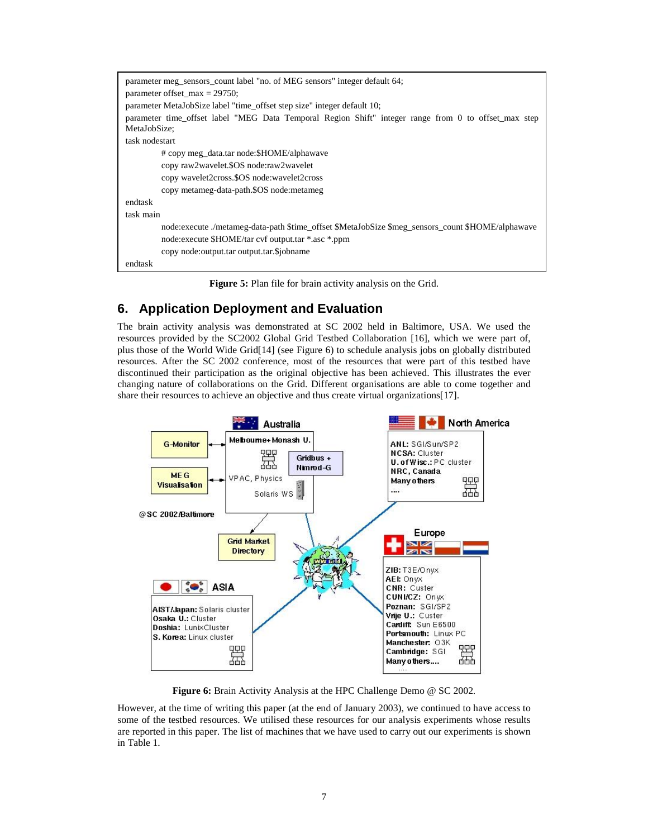```
parameter meg_sensors_count label "no. of MEG sensors" integer default 64;
parameter offset_max = 29750;
parameter MetaJobSize label "time_offset step size" integer default 10;
parameter time_offset label "MEG Data Temporal Region Shift" integer range from 0 to offset_max step
MetaJobSize;
task nodestart
         # copy meg_data.tar node:$HOME/alphawave
        copy raw2wavelet.$OS node:raw2wavelet
         copy wavelet2cross.$OS node:wavelet2cross
         copy metameg-data-path.$OS node:metameg
endtask
task main
         node:execute ./metameg-data-path $time_offset $MetaJobSize $meg_sensors_count $HOME/alphawave
         node:execute $HOME/tar cvf output.tar *.asc *.ppm
         copy node:output.tar output.tar.$jobname
endtask
```
**Figure 5:** Plan file for brain activity analysis on the Grid.

## **6. Application Deployment and Evaluation**

The brain activity analysis was demonstrated at SC 2002 held in Baltimore, USA. We used the resources provided by the SC2002 Global Grid Testbed Collaboration [16], which we were part of, plus those of the World Wide Grid[14] (see Figure 6) to schedule analysis jobs on globally distributed resources. After the SC 2002 conference, most of the resources that were part of this testbed have discontinued their participation as the original objective has been achieved. This illustrates the ever changing nature of collaborations on the Grid. Different organisations are able to come together and share their resources to achieve an objective and thus create virtual organizations[17].



**Figure 6:** Brain Activity Analysis at the HPC Challenge Demo @ SC 2002.

However, at the time of writing this paper (at the end of January 2003), we continued to have access to some of the testbed resources. We utilised these resources for our analysis experiments whose results are reported in this paper. The list of machines that we have used to carry out our experiments is shown in Table 1.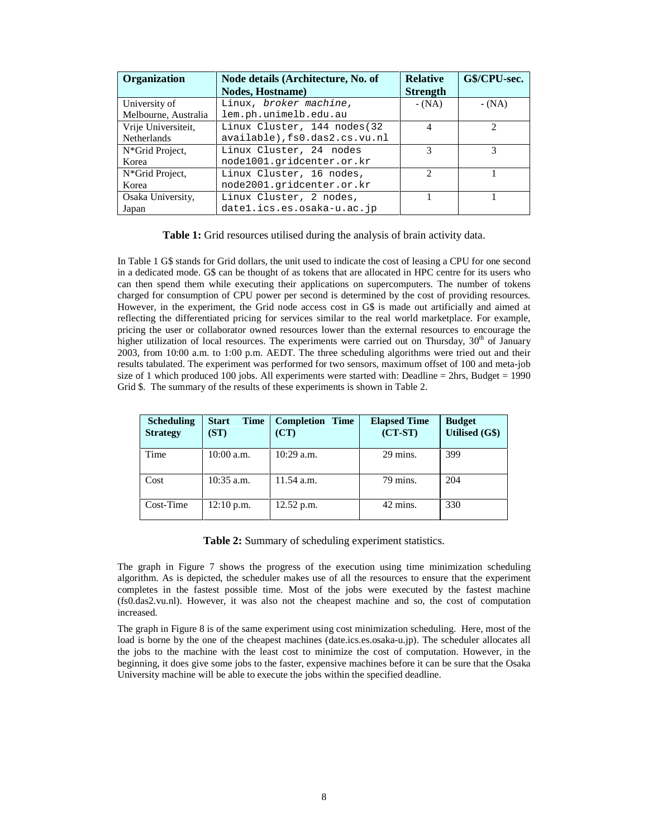| <b>Organization</b>  | Node details (Architecture, No. of<br><b>Nodes, Hostname</b> ) | <b>Relative</b><br><b>Strength</b> | G\$/CPU-sec.                |
|----------------------|----------------------------------------------------------------|------------------------------------|-----------------------------|
| University of        | Linux, broker machine,                                         | $- (NA)$                           | $- (NA)$                    |
| Melbourne, Australia | lem.ph.unimelb.edu.au                                          |                                    |                             |
| Vrije Universiteit,  | Linux Cluster, 144 nodes (32                                   | 4                                  | $\mathcal{D}_{\mathcal{L}}$ |
| <b>Netherlands</b>   | available), fs0.das2.cs.vu.nl                                  |                                    |                             |
| N*Grid Project,      | Linux Cluster, 24 nodes                                        | 3                                  | 3                           |
| Korea                | node1001.gridcenter.or.kr                                      |                                    |                             |
| N*Grid Project,      | Linux Cluster, 16 nodes,                                       | $\mathcal{D}$                      |                             |
| Korea                | node2001.gridcenter.or.kr                                      |                                    |                             |
| Osaka University,    | Linux Cluster, 2 nodes,                                        |                                    |                             |
| Japan                | datel.ics.es.osaka-u.ac.jp                                     |                                    |                             |

**Table 1:** Grid resources utilised during the analysis of brain activity data.

In Table 1 G\$ stands for Grid dollars, the unit used to indicate the cost of leasing a CPU for one second in a dedicated mode. G\$ can be thought of as tokens that are allocated in HPC centre for its users who can then spend them while executing their applications on supercomputers. The number of tokens charged for consumption of CPU power per second is determined by the cost of providing resources. However, in the experiment, the Grid node access cost in G\$ is made out artificially and aimed at reflecting the differentiated pricing for services similar to the real world marketplace. For example, pricing the user or collaborator owned resources lower than the external resources to encourage the higher utilization of local resources. The experiments were carried out on Thursday,  $30<sup>th</sup>$  of January 2003, from 10:00 a.m. to 1:00 p.m. AEDT. The three scheduling algorithms were tried out and their results tabulated. The experiment was performed for two sensors, maximum offset of 100 and meta-job size of 1 which produced 100 jobs. All experiments were started with: Deadline  $=$  2hrs, Budget  $=$  1990 Grid \$. The summary of the results of these experiments is shown in Table 2.

| <b>Scheduling</b><br><b>Strategy</b> | <b>Time</b><br><b>Start</b><br>(ST) | <b>Completion</b><br>Time<br>(CT) | <b>Elapsed Time</b><br>$(CT-ST)$ | <b>Budget</b><br>Utilised (G\$) |
|--------------------------------------|-------------------------------------|-----------------------------------|----------------------------------|---------------------------------|
| Time                                 | $10:00$ a.m.                        | $10:29$ a.m.                      | 29 mins.                         | 399                             |
| Cost                                 | $10:35$ a.m.                        | $11.54$ a.m.                      | 79 mins.                         | 204                             |
| Cost-Time                            | $12:10$ p.m.                        | 12.52 p.m.                        | 42 mins.                         | 330                             |

**Table 2:** Summary of scheduling experiment statistics.

The graph in Figure 7 shows the progress of the execution using time minimization scheduling algorithm. As is depicted, the scheduler makes use of all the resources to ensure that the experiment completes in the fastest possible time. Most of the jobs were executed by the fastest machine (fs0.das2.vu.nl). However, it was also not the cheapest machine and so, the cost of computation increased.

The graph in Figure 8 is of the same experiment using cost minimization scheduling. Here, most of the load is borne by the one of the cheapest machines (date.ics.es.osaka-u.jp). The scheduler allocates all the jobs to the machine with the least cost to minimize the cost of computation. However, in the beginning, it does give some jobs to the faster, expensive machines before it can be sure that the Osaka University machine will be able to execute the jobs within the specified deadline.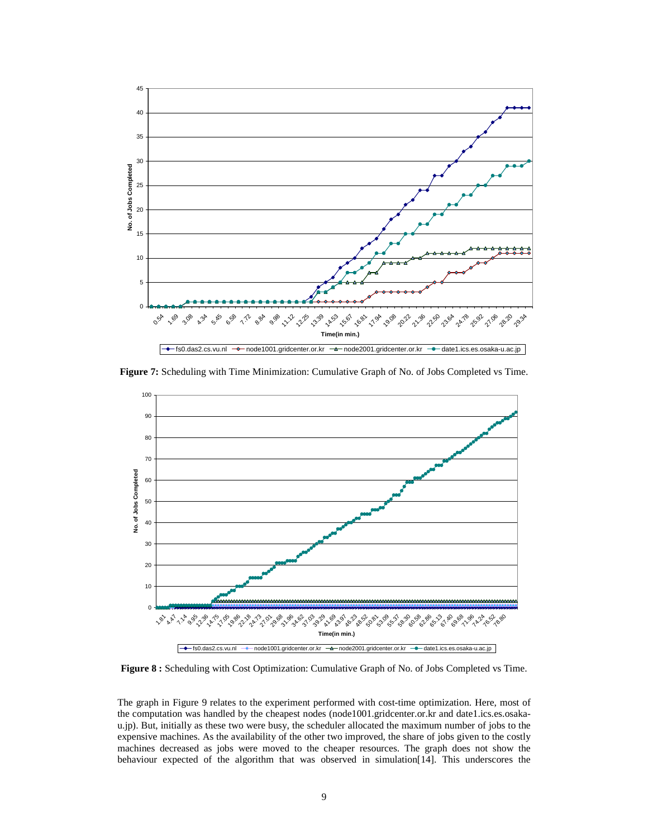

**Figure 7:** Scheduling with Time Minimization: Cumulative Graph of No. of Jobs Completed vs Time.



**Figure 8 :** Scheduling with Cost Optimization: Cumulative Graph of No. of Jobs Completed vs Time.

The graph in Figure 9 relates to the experiment performed with cost-time optimization. Here, most of the computation was handled by the cheapest nodes (node1001.gridcenter.or.kr and date1.ics.es.osakau.jp). But, initially as these two were busy, the scheduler allocated the maximum number of jobs to the expensive machines. As the availability of the other two improved, the share of jobs given to the costly machines decreased as jobs were moved to the cheaper resources. The graph does not show the behaviour expected of the algorithm that was observed in simulation[14]. This underscores the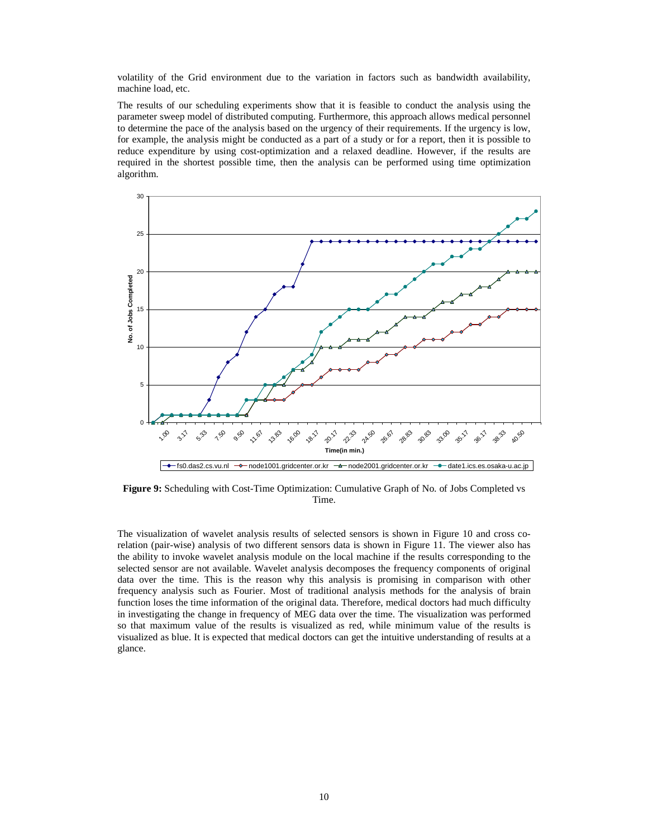volatility of the Grid environment due to the variation in factors such as bandwidth availability, machine load, etc.

The results of our scheduling experiments show that it is feasible to conduct the analysis using the parameter sweep model of distributed computing. Furthermore, this approach allows medical personnel to determine the pace of the analysis based on the urgency of their requirements. If the urgency is low, for example, the analysis might be conducted as a part of a study or for a report, then it is possible to reduce expenditure by using cost-optimization and a relaxed deadline. However, if the results are required in the shortest possible time, then the analysis can be performed using time optimization algorithm.



**Figure 9:** Scheduling with Cost-Time Optimization: Cumulative Graph of No. of Jobs Completed vs Time.

The visualization of wavelet analysis results of selected sensors is shown in Figure 10 and cross corelation (pair-wise) analysis of two different sensors data is shown in Figure 11. The viewer also has the ability to invoke wavelet analysis module on the local machine if the results corresponding to the selected sensor are not available. Wavelet analysis decomposes the frequency components of original data over the time. This is the reason why this analysis is promising in comparison with other frequency analysis such as Fourier. Most of traditional analysis methods for the analysis of brain function loses the time information of the original data. Therefore, medical doctors had much difficulty in investigating the change in frequency of MEG data over the time. The visualization was performed so that maximum value of the results is visualized as red, while minimum value of the results is visualized as blue. It is expected that medical doctors can get the intuitive understanding of results at a glance.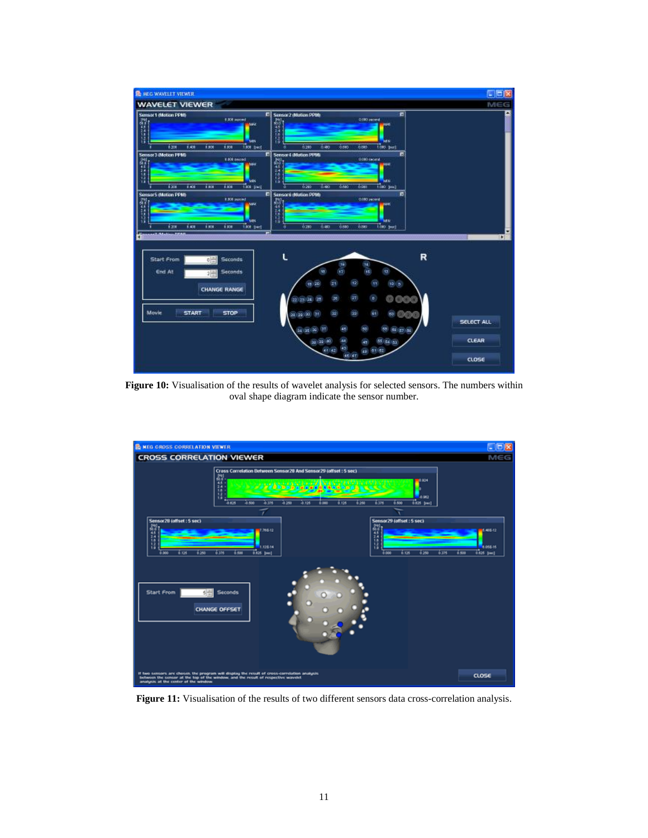

**Figure 10:** Visualisation of the results of wavelet analysis for selected sensors. The numbers within oval shape diagram indicate the sensor number.



**Figure 11:** Visualisation of the results of two different sensors data cross-correlation analysis.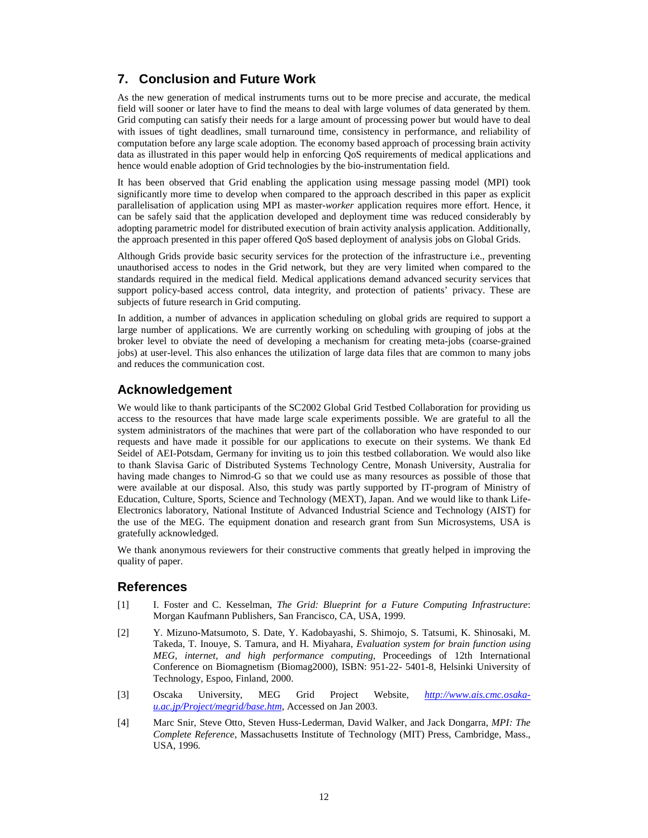# **7. Conclusion and Future Work**

As the new generation of medical instruments turns out to be more precise and accurate, the medical field will sooner or later have to find the means to deal with large volumes of data generated by them. Grid computing can satisfy their needs for a large amount of processing power but would have to deal with issues of tight deadlines, small turnaround time, consistency in performance, and reliability of computation before any large scale adoption. The economy based approach of processing brain activity data as illustrated in this paper would help in enforcing QoS requirements of medical applications and hence would enable adoption of Grid technologies by the bio-instrumentation field.

It has been observed that Grid enabling the application using message passing model (MPI) took significantly more time to develop when compared to the approach described in this paper as explicit parallelisation of application using MPI as master-*worker* application requires more effort. Hence, it can be safely said that the application developed and deployment time was reduced considerably by adopting parametric model for distributed execution of brain activity analysis application. Additionally, the approach presented in this paper offered QoS based deployment of analysis jobs on Global Grids.

Although Grids provide basic security services for the protection of the infrastructure i.e., preventing unauthorised access to nodes in the Grid network, but they are very limited when compared to the standards required in the medical field. Medical applications demand advanced security services that support policy-based access control, data integrity, and protection of patients' privacy. These are subjects of future research in Grid computing.

In addition, a number of advances in application scheduling on global grids are required to support a large number of applications. We are currently working on scheduling with grouping of jobs at the broker level to obviate the need of developing a mechanism for creating meta-jobs (coarse-grained jobs) at user-level. This also enhances the utilization of large data files that are common to many jobs and reduces the communication cost.

## **Acknowledgement**

We would like to thank participants of the SC2002 Global Grid Testbed Collaboration for providing us access to the resources that have made large scale experiments possible. We are grateful to all the system administrators of the machines that were part of the collaboration who have responded to our requests and have made it possible for our applications to execute on their systems. We thank Ed Seidel of AEI-Potsdam, Germany for inviting us to join this testbed collaboration. We would also like to thank Slavisa Garic of Distributed Systems Technology Centre, Monash University, Australia for having made changes to Nimrod-G so that we could use as many resources as possible of those that were available at our disposal. Also, this study was partly supported by IT-program of Ministry of Education, Culture, Sports, Science and Technology (MEXT), Japan. And we would like to thank Life-Electronics laboratory, National Institute of Advanced Industrial Science and Technology (AIST) for the use of the MEG. The equipment donation and research grant from Sun Microsystems, USA is gratefully acknowledged.

We thank anonymous reviewers for their constructive comments that greatly helped in improving the quality of paper.

### **References**

- [1] I. Foster and C. Kesselman, *The Grid: Blueprint for a Future Computing Infrastructure*: Morgan Kaufmann Publishers, San Francisco, CA, USA, 1999.
- [2] Y. Mizuno-Matsumoto, S. Date, Y. Kadobayashi, S. Shimojo, S. Tatsumi, K. Shinosaki, M. Takeda, T. Inouye, S. Tamura, and H. Miyahara, *Evaluation system for brain function using MEG, internet, and high performance computing*, Proceedings of 12th International Conference on Biomagnetism (Biomag2000), ISBN: 951-22- 5401-8, Helsinki University of Technology, Espoo, Finland, 2000.
- [3] Oscaka University, MEG Grid Project Website, *http://www.ais.cmc.osakau.ac.jp/Project/megrid/base.htm*, Accessed on Jan 2003.
- [4] Marc Snir, Steve Otto, Steven Huss-Lederman, David Walker, and Jack Dongarra, *MPI: The Complete Reference*, Massachusetts Institute of Technology (MIT) Press, Cambridge, Mass., USA, 1996.